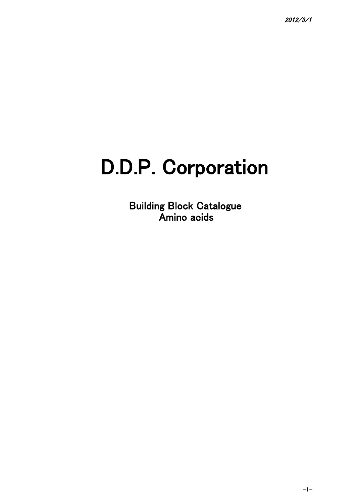## D.D.P. Corporation

Building Block Catalogue Amino acids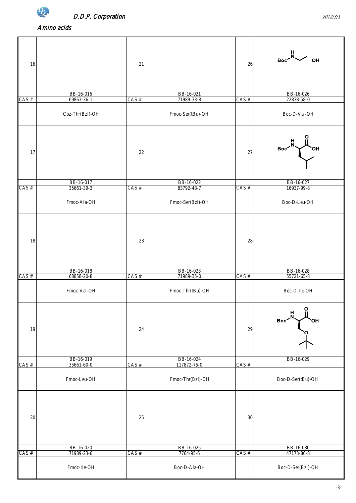

| 16      |                         | 21      |                          | 26      |                                                      |
|---------|-------------------------|---------|--------------------------|---------|------------------------------------------------------|
|         |                         |         |                          |         |                                                      |
|         | BB-16-016               |         | BB-16-021                |         | BB-16-026                                            |
| $CAS$ # | 69863-36-1              | $CAS$ # | 71989-33-8               | CAS #   | 22838-58-0                                           |
|         | Cbz-Thr(Bzl)-OH         |         | Fmoc-Ser(tBu)-OH         |         | Boc-D-Val-OH                                         |
|         |                         |         |                          |         | $Boc \times N$                                       |
| 17      |                         | 22      |                          | 27      | $\sim$ он                                            |
|         | BB-16-017               |         | BB-16-022                |         | BB-16-027                                            |
| $CAS$ # | 35661-39-3              | CAS#    | 83792-48-7               | $CAS$ # | 16937-99-8                                           |
|         | Fmoc-Ala-OH             |         | Fmoc-Ser(BzI)-OH         |         | Boc-D-Leu-OH                                         |
|         |                         |         |                          |         |                                                      |
| 18      |                         | 23      |                          | 28      |                                                      |
|         | BB-16-018               |         | BB-16-023                |         | BB-16-028                                            |
| $CAS$ # | 68858-20-8              | CAS #   | 71989-35-0               | $CAS$ # | 55721-65-8                                           |
|         | Fmoc-Val-OH             |         | Fmoc-Thr(tBu)-OH         |         | Boc-D-lle-OH                                         |
|         |                         |         |                          |         | $\Omega$<br>$\frac{H}{N}$<br>Boc <sup>-</sup><br>OH) |
| 19      |                         | 24      |                          | 29      |                                                      |
|         |                         |         |                          |         |                                                      |
| $CAS$ # | BB-16-019<br>35661-60-0 | $CAS$ # | BB-16-024<br>117872-75-0 | $CAS$ # | BB-16-029                                            |
|         |                         |         |                          |         |                                                      |
|         | Fmoc-Leu-OH             |         | Fmoc-Thr(Bzl)-OH         |         | Boc-D-Ser(tBu)-OH                                    |
|         |                         |         |                          |         |                                                      |
| $20\,$  |                         | 25      |                          | $30\,$  |                                                      |
|         |                         |         |                          |         |                                                      |
| $CAS$ # | BB-16-020<br>71989-23-6 | CAS#    | BB-16-025<br>7764-95-6   | $CAS$ # | BB-16-030<br>47173-80-8                              |
|         | Fmoc-lle-OH             |         | Boc-D-Ala-OH             |         | Boc-D-Ser(Bzl)-OH                                    |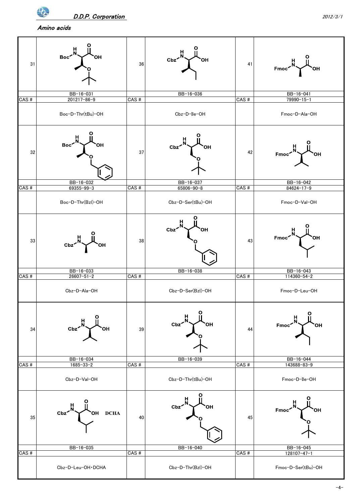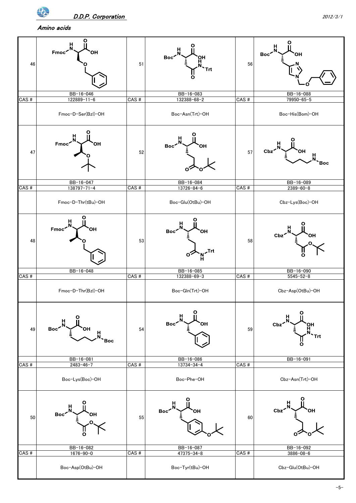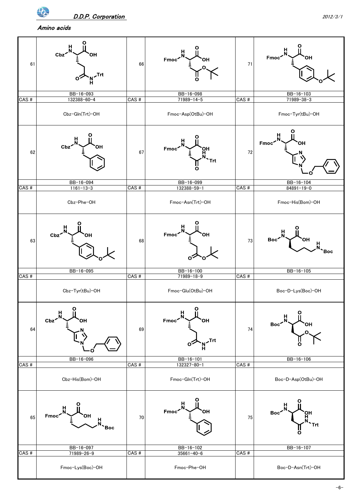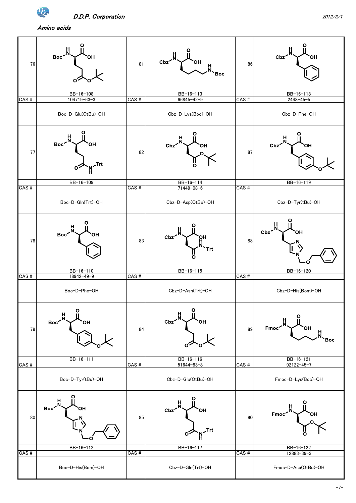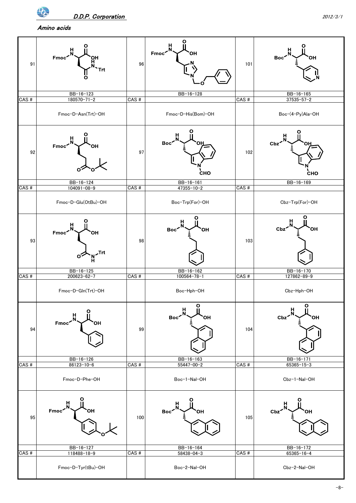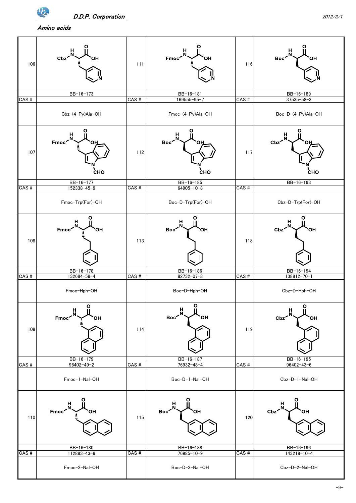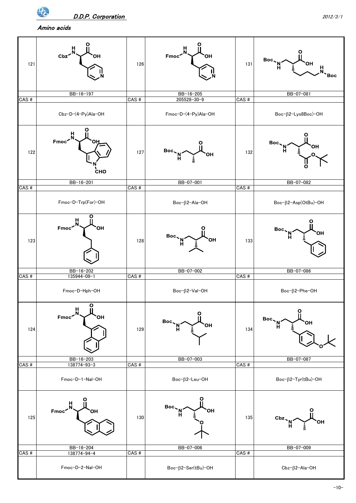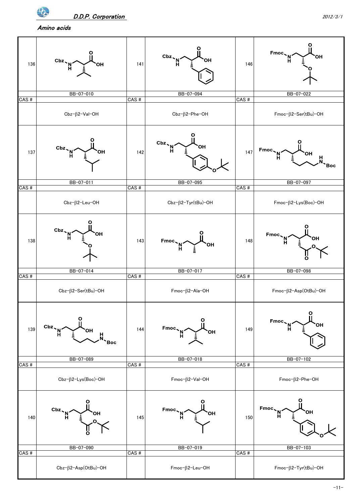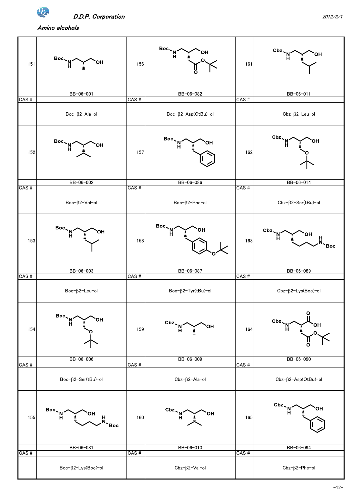$\Phi$ 

D.D.P. Corporation 2012/3/1

Amino alcohols

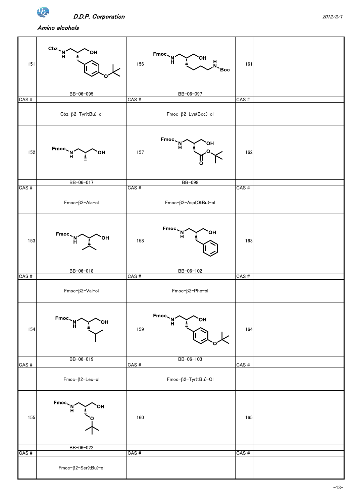Amino alcohols

 $\overline{\mathbf{P}}$ 

| 151     | $\frac{Cbz}{H}$<br>OН<br>BB-06-095      | 156     | $Fmoc \sim N^2$<br>OH)<br>$M_{\sim}$ Boc<br>BB-06-097 | 161     |  |
|---------|-----------------------------------------|---------|-------------------------------------------------------|---------|--|
| $CAS$ # |                                         | CAS#    |                                                       | CAS#    |  |
|         | Cbz-ß2-Tyr(tBu)-ol                      |         | $Fmoc-\beta2$ -Lys(Boc)-ol                            |         |  |
| 152     | $Fmoc \sim M \sim H$<br><b>OH</b>       | 157     | Fmoc<br>OH<br>'N'<br>$\overline{O}$                   | 162     |  |
| $CAS$ # | BB-06-017                               | CAS#    | <b>BB-098</b>                                         | CAS#    |  |
|         | $Fmoc-\beta2-Ala-ol$                    |         | Fmoc-ß2-Asp(OtBu)-ol                                  |         |  |
| 153     | $Fmoc \sim M \sim H$<br>OH)             | 158     | $Fmoc \sim N^2$<br>ЮH                                 | 163     |  |
|         | BB-06-018                               |         | BB-06-102                                             |         |  |
| $CAS$ # | $Fmoc-\beta2-Val-ol$                    | CAS#    | $Fmoc-\beta2-Phe-ol$                                  | CAS#    |  |
| 154     | Fmoc,<br>OН<br>'N<br>H                  | 159     | $Fmoc \sim M \sim H$<br>OН                            | 164     |  |
| CAS#    | BB-06-019                               | CAS#    | BB-06-103                                             | CAS#    |  |
|         | $Fmoc-\beta2$ -Leu-ol                   |         | $Fmoc-\beta 2-Tyr(tBu)-Ol$                            |         |  |
| 155     | $Fmoc \sim M \sim H$<br>OH<br>BB-06-022 | 160     |                                                       | 165     |  |
| CAS#    |                                         | $CAS$ # |                                                       | $CAS$ # |  |
|         | $Fmoc-\beta2-Ser(tBu)-ol$               |         |                                                       |         |  |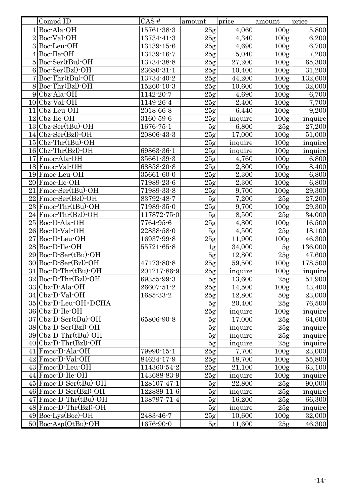| Compd ID                                          | CAS#        | amount         | price   | amount                               | price   |
|---------------------------------------------------|-------------|----------------|---------|--------------------------------------|---------|
| $1 $ Boc-Ala-OH                                   | 15761-38-3  | 25g            | 4,060   | 100 <sub>g</sub>                     | 5,800   |
| $2 $ Boc-Val-OH                                   | 13734-41-3  | 25g            | 4,340   | 100 <sub>g</sub>                     | 6,200   |
| 3Boc-Leu-OH                                       | 13139-15-6  | 25g            | 4,690   | 100 <sub>g</sub>                     | 6,700   |
| $4 $ Boc-Ile-OH                                   | 13139-16-7  | 25g            | 5,040   | 100 <sub>g</sub>                     | 7,200   |
| $5 Boc-Ser(tBu)-OH$                               | 13734-38-8  | 25g            | 27,200  | 100 <sub>g</sub>                     | 65,300  |
| $6 Boc-Ser(Bz1)-OH$                               | 23680-31-1  | 25g            | 10,400  | 100 <sub>g</sub>                     | 31,200  |
| $7 Boc-Thr(tBu)-OH$                               | 13734-40-2  | 25g            | 44,200  | 100 <sub>g</sub>                     | 132,600 |
| $8 Boc-Thr(Bz)$ -OH                               | 15260-10-3  | 25g            | 10,600  | 100 <sub>g</sub>                     | 32,000  |
| $9$ Cbz-Ala-OH                                    | 1142-20-7   | 25g            | 4,690   | 100 <sub>g</sub>                     | 6,700   |
| $10$ Cbz-Val-OH                                   | 1149-26-4   | 25g            | 2,400   | 100 <sub>g</sub>                     | 7,700   |
| $11 C$ bz-Leu-OH                                  | 2018-66-8   | 25g            | 6,440   | 100 <sub>g</sub>                     | 9,200   |
| $12$ Cbz-Ile-OH                                   | 3160-59-6   | 25g            | inquire | 100 <sub>g</sub>                     | inquire |
| $13 Cbz\text{-}\text{Ser}(tBu)\text{-}\text{OH}$  | 1676-75-1   | 5g             | 6,800   | 25g                                  | 27,200  |
| $14 Cbz\text{-}Ser(Bz)\text{-}OH$                 | 20806-43-3  | 25g            | 17,000  | 100 <sub>g</sub>                     | 51,000  |
| $15 C$ bz-Thr $(tBu)$ -OH                         |             | 25g            | inquire | 100 <sub>g</sub>                     | inquire |
| $16 Cbz-Thr(Bzl)-OH$                              | 69863-36-1  | 25g            | inquire | 100 <sub>g</sub>                     | inquire |
| 17 Fmoc-Ala-OH                                    | 35661-39-3  | 25g            | 4,760   | 100 <sub>g</sub>                     | 6,800   |
| 18 Fmoc-Val-OH                                    | 68858-20-8  | 25g            | 2,800   | 100 <sub>g</sub>                     | 8,400   |
| 19 Fmoc-Leu-OH                                    | 35661-60-0  | 25g            | 2,300   | 100 <sub>g</sub>                     | 6,800   |
| 20 Fmoc-Ile-OH                                    | 71989-23-6  | 25g            | 2,300   | 100 <sub>g</sub>                     | 6,800   |
| $21$ Fmoc-Ser(tBu)-OH                             | 71989-33-8  | 25g            | 9,700   | 100 <sub>g</sub>                     | 29,300  |
| $22$ Fmoc-Ser(Bzl)-OH                             | 83792-48-7  | 5g             | 7,200   | 25g                                  | 27,200  |
| $23$ Fmoc-Thr(tBu)-OH                             | 71989-35-0  | 25g            | 9,700   | 100 <sub>g</sub>                     | 29,300  |
| $24$ Fmoc-Thr(Bzl)-OH                             | 117872-75-0 | 5g             | 8,500   | 25g                                  | 34,000  |
| 25 Boc D-Ala OH                                   | 7764-95-6   | 25g            | 4,800   | 100 <sub>g</sub>                     | 16,500  |
| 26 Boc D Val OH                                   | 22838-58-0  | 5g             | 4,500   | 25g                                  | 18,100  |
| 27 Boc-D-Leu-OH                                   | 16937-99-8  | 25g            | 11,900  | 100 <sub>g</sub>                     | 46,300  |
| 28 Boc-D-Ile-OH                                   | 55721-65-8  | 1 <sub>g</sub> | 34,000  | 5g                                   | 136,000 |
| 29 Boc-D-Ser(tBu)-OH                              |             | 5g             | 12,800  | 25g                                  | 47,600  |
| $30 Boc-D-Ser(Bzl)-OH$                            | 47173-80-8  | 25g            | 59,500  | 100 <sub>g</sub>                     | 178,500 |
| $31 Boc-D-Thr(tBu)-OH$                            | 201217-86-9 | 25g            | inquire | 100 <sub>g</sub>                     | inquire |
| $32 Boc-D-Thr(Bzl)-OH$                            | 69355-99-3  | 5g             | 13,600  | 25g                                  | 51,900  |
| 33 Cbz-D-Ala-OH                                   | 26607-51-2  | 25g            | 14,500  | 100 <sub>g</sub>                     | 43,400  |
| 34 Cbz-D-Val-OH                                   | 1685-33-2   | 25g            | 12,800  | 50 <sub>g</sub>                      | 23,000  |
| 35 Cbz-D-Leu-OH · DCHA                            |             | 5g             | 20,400  | 25g                                  | 76,500  |
| 36 Cbz-D-Ile-OH                                   |             | 25g            | inquire | 100 <sub>g</sub>                     | inquire |
| $37 Cbz-D-Ser(tBu)-OH$                            | 65806-90-8  | 5g             | 17,000  | 25g                                  | 64,600  |
| 38 Cbz-D-Ser(Bzl)-OH                              |             | 5g             | inquire | 25g                                  | inquire |
| $39 Cbz-D-Thr(tBu)-OH$                            |             | 5g             | inquire | 25g                                  | inquire |
| $40 Cbz-D-Thr(Bzl)-OH$                            |             | 5g             | inquire | 25g                                  | inquire |
| 41 Fmoc D Ala OH                                  | 79990-15-1  | 25g            | 7,700   | 100 <sub>g</sub>                     | 23,000  |
| 42 Fmoc D Val OH                                  | 84624-17-9  | 25g            | 18,700  | 100 <sub>g</sub>                     | 55,800  |
| 43 Fmoc-D-Leu-OH                                  | 114360-54-2 |                | 21,100  |                                      | 63,100  |
| 44 Fmoc-D-Ile-OH                                  | 143688-83-9 | 25g<br>25g     | inquire | 100 <sub>g</sub><br>100 <sub>g</sub> | inquire |
| $45$ Fmoc $\cdot$ D $\cdot$ Ser $(tBu)\cdot$ OH   | 128107-47-1 |                | 22,800  | 25g                                  | 90,000  |
| $46$ Fmoc-D-Ser(Bzl)-OH                           |             | 5g             |         |                                      |         |
|                                                   | 122889-11-6 | 5g             | inquire | 25g                                  | inquire |
| $47$ Fmoc $\cdot$ D $\cdot$ Thr $(tBu)\cdot$ OH   | 138797-71-4 | 5g             | 16,200  | 25g                                  | 66,300  |
| $48$ Fmoc $\cdot$ D $\cdot$ Thr $(Bz)$ $\cdot$ OH |             | 5g             | inquire | 25g                                  | inquire |
| $49 Boc-Lys(Boc)$ -OH                             | 2483-46-7   | 25g            | 10,600  | 100 <sub>g</sub>                     | 32,000  |
| $50 $ Boc-Asp(OtBu)-OH                            | 1676-90-0   | 5g             | 11,600  | 25g                                  | 46,300  |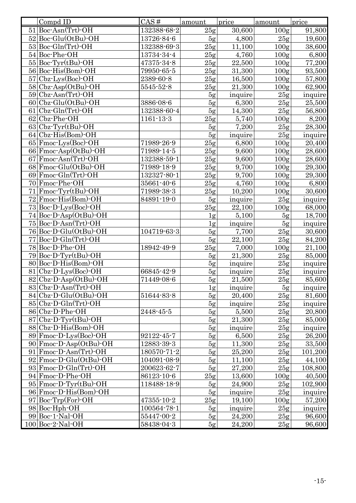| $51$ Boc-Asn(Trt)-OH<br>132388-68-2<br>25g<br>30,600<br>100 <sub>g</sub><br>91,800<br>$52$ Boc-Glu(OtBu)-OH<br>13726-84-6<br>5g<br>4,800<br>25g<br>19,600<br>$53 Boc-Gln(Trt)-OH$<br>25g<br>132388-69-3<br>11,100<br>100 <sub>g</sub><br>38,600<br>25g<br>54 Boc-Phe-OH<br>13734-34-4<br>4,760<br>100 <sub>g</sub><br>6,800<br>$55 $ Boc-Tyr(tBu)-OH<br>47375-34-8<br>25g<br>22,500<br>77,200<br>100 <sub>g</sub><br>56 Boc-His(Bom)-OH<br>100 <sub>g</sub><br>79950-65-5<br>25g<br>31,300<br>93,500<br>57 Cbz-Lys(Boc)-OH<br>100 <sub>g</sub><br>2389-60-8<br>25g<br>57,800<br>16,500<br>$58 Cbz-Asp(OtBu)-OH$<br>25g<br>21,300<br>62,900<br>5545-52-8<br>100 <sub>g</sub><br>$59 C$ bz-Asn(Trt)-OH<br>5g<br>25g<br>inquire<br>inquire<br>$60$ Cbz $\cdot$ Glu(OtBu) $\cdot$ OH<br>6,300<br>25,500<br>3886-08-6<br>5g<br>25g<br>$61$ Cbz-Gln(Trt)-OH<br>25g<br>132388-60-4<br>5g<br>14,300<br>56,800<br>62 Cbz-Phe-OH<br>5,740<br>25g<br>8,200<br>$1161 - 13 - 3$<br>100 <sub>g</sub><br>7,200<br>$63 Cbz-Tyr(tBu)$ -OH<br>5g<br>28,300<br>25g<br>$64$ Cbz $\cdot$ His(Bom) $\cdot$ OH<br>5g<br>inquire<br>25g<br>inquire<br>25g<br>65 Fmoc-Lys(Boc)-OH<br>71989-26-9<br>6,800<br>100 <sub>g</sub><br>20,400<br>$66$ Fmoc-Asp(OtBu)-OH<br>71989-14-5<br>25g<br>9,600<br>100 <sub>g</sub><br>28,600<br>67 Fmoc-Asn(Trt)-OH<br>25g<br>132388-59-1<br>9,600<br>100 <sub>g</sub><br>28,600<br>68 Fmoc-Glu(OtBu)-OH<br>9,700<br>29,300<br>71989-18-9<br>25g<br>100 <sub>g</sub><br>$69$ Fmoc-Gln(Trt)-OH<br>132327-80-1<br>25g<br>9,700<br>100 <sub>g</sub><br>29,300<br>70 Fmoc-Phe-OH<br>4,760<br>35661-40-6<br>25g<br>100 <sub>g</sub><br>6,800<br>$71$ Fmoc $-Tyr$ (tBu) $-OH$<br>71989-38-3<br>10,200<br>25g<br>30,600<br>100 <sub>g</sub><br>72 Fmoc-His(Bom)-OH<br>84891-19-0<br>5g<br>inquire<br>25g<br>inquire<br>25g<br>22,100<br>68,000<br>73 Boc-D-Lys(Boc)-OH<br>100 <sub>g</sub><br>5,100<br>18,700<br>74 Boc-D-Asp(OtBu)-OH<br>5g<br>1g<br>inquire<br>75 Boc-D-Asn(Trt)-OH<br>5g<br>inquire<br>1g<br>76 Boc-D-Glu(OtBu)-OH<br>104719-63-3<br>7,700<br>25g<br>30,600<br>5g<br>77 Boc-D-Gln(Trt)-OH<br>5g<br>22,100<br>25g<br>84,200<br>78 Boc-D-Phe-OH<br>25g<br>18942-49-9<br>7,000<br>100 <sub>g</sub><br>21,100<br>$79 Boc-D-Tyr(tBu)-OH$<br>21,300<br>25g<br>5g<br>85,000<br>80 Boc-D-His (Bom)-OH<br>5g<br>25g<br>inquire<br>inquire<br>inquire<br>$81$ Cbz $\cdot$ D $\cdot$ Lys $(Boc)$ $\cdot$ OH<br>5g<br>25g<br>66845-42-9<br>inquire<br>82 Cbz-D-Asp(OtBu)-OH<br>85,600<br>71449-08-6<br>21,500<br>25g<br>5g<br>$83 Cbz-D-Asn(Trt)-OH$<br>1g<br>5g<br>inquire<br>inquire<br>$84 Cbz-D-Glu(OtBu)-OH$<br>25g<br>51644-83-8<br>5g<br>20,400<br>81,600<br>$85 Cbz-D-Gln(Trt)-OH$<br>5g<br>inquire<br>25g<br>inquire<br>86 Cbz-D-Phe-OH<br>25g<br>20,800<br>5g<br>5,500<br>2448-45-5<br>$87 Cbz-D-Tyr(tBu)-OH$<br>21,300<br>25g<br>85,000<br>5g<br>88 Cbz-D-His (Bom)-OH<br>25g<br>5g<br>inquire<br>inquire<br>26,200<br>89 Fmoc-D-Lys(Boc)-OH<br>6,500<br>92122-45-7<br>5g<br>25g<br>90 Fmoc-D-Asp(OtBu)-OH<br>12883-39-3<br>5g<br>11,300<br>25g<br>33,500<br>$91$ Fmoc-D-Asn(Trt)-OH<br>25,200<br>101,200<br>180570-71-2<br>25g<br>5g<br>92 Fmoc-D-Glu(OtBu)-OH<br>104091-08-9<br>11,100<br>25g<br>44,100<br>5g<br>$93$ Fmoc $-D$ -Gln $(Trt)$ -OH<br>200623-62-7<br>27,200<br>108,800<br>5g<br>25g<br>94 Fmoc-D-Phe-OH<br>25g<br>86123-10-6<br>13,600<br>100 <sub>g</sub><br>40,500<br>$95$ Fmoc $\cdot$ D $\cdot$ Tyr $(t$ Bu $)\cdot$ OH<br>118488-18-9<br>24,900<br>25g<br>102,900<br>5g<br>96 Fmoc-D-His (Bom)-OH<br>inquire<br>25g<br>5g<br>inquire<br>$97 Boc-Trp(For)-OH$<br>57,200<br>47355-10-2<br>25g<br>19,100<br>100 <sub>g</sub><br>98 Boc-Hph-OH<br>100564-78-1<br>25g<br>5g<br>inquire<br>inquire<br>$99 Boc-1-Nal-OH$<br>96,600<br>55447-00-2<br>24,200<br>25g<br>5g | Compd ID | CAS#       | amount | price  | amount | price  |
|---------------------------------------------------------------------------------------------------------------------------------------------------------------------------------------------------------------------------------------------------------------------------------------------------------------------------------------------------------------------------------------------------------------------------------------------------------------------------------------------------------------------------------------------------------------------------------------------------------------------------------------------------------------------------------------------------------------------------------------------------------------------------------------------------------------------------------------------------------------------------------------------------------------------------------------------------------------------------------------------------------------------------------------------------------------------------------------------------------------------------------------------------------------------------------------------------------------------------------------------------------------------------------------------------------------------------------------------------------------------------------------------------------------------------------------------------------------------------------------------------------------------------------------------------------------------------------------------------------------------------------------------------------------------------------------------------------------------------------------------------------------------------------------------------------------------------------------------------------------------------------------------------------------------------------------------------------------------------------------------------------------------------------------------------------------------------------------------------------------------------------------------------------------------------------------------------------------------------------------------------------------------------------------------------------------------------------------------------------------------------------------------------------------------------------------------------------------------------------------------------------------------------------------------------------------------------------------------------------------------------------------------------------------------------------------------------------------------------------------------------------------------------------------------------------------------------------------------------------------------------------------------------------------------------------------------------------------------------------------------------------------------------------------------------------------------------------------------------------------------------------------------------------------------------------------------------------------------------------------------------------------------------------------------------------------------------------------------------------------------------------------------------------------------------------------------------------------------------------------------------------------------------------------------------------------------------------------------------------------------------------------------------------------------------------------------------------------------------------------------------------------------------------------------------------|----------|------------|--------|--------|--------|--------|
|                                                                                                                                                                                                                                                                                                                                                                                                                                                                                                                                                                                                                                                                                                                                                                                                                                                                                                                                                                                                                                                                                                                                                                                                                                                                                                                                                                                                                                                                                                                                                                                                                                                                                                                                                                                                                                                                                                                                                                                                                                                                                                                                                                                                                                                                                                                                                                                                                                                                                                                                                                                                                                                                                                                                                                                                                                                                                                                                                                                                                                                                                                                                                                                                                                                                                                                                                                                                                                                                                                                                                                                                                                                                                                                                                                                                         |          |            |        |        |        |        |
|                                                                                                                                                                                                                                                                                                                                                                                                                                                                                                                                                                                                                                                                                                                                                                                                                                                                                                                                                                                                                                                                                                                                                                                                                                                                                                                                                                                                                                                                                                                                                                                                                                                                                                                                                                                                                                                                                                                                                                                                                                                                                                                                                                                                                                                                                                                                                                                                                                                                                                                                                                                                                                                                                                                                                                                                                                                                                                                                                                                                                                                                                                                                                                                                                                                                                                                                                                                                                                                                                                                                                                                                                                                                                                                                                                                                         |          |            |        |        |        |        |
|                                                                                                                                                                                                                                                                                                                                                                                                                                                                                                                                                                                                                                                                                                                                                                                                                                                                                                                                                                                                                                                                                                                                                                                                                                                                                                                                                                                                                                                                                                                                                                                                                                                                                                                                                                                                                                                                                                                                                                                                                                                                                                                                                                                                                                                                                                                                                                                                                                                                                                                                                                                                                                                                                                                                                                                                                                                                                                                                                                                                                                                                                                                                                                                                                                                                                                                                                                                                                                                                                                                                                                                                                                                                                                                                                                                                         |          |            |        |        |        |        |
|                                                                                                                                                                                                                                                                                                                                                                                                                                                                                                                                                                                                                                                                                                                                                                                                                                                                                                                                                                                                                                                                                                                                                                                                                                                                                                                                                                                                                                                                                                                                                                                                                                                                                                                                                                                                                                                                                                                                                                                                                                                                                                                                                                                                                                                                                                                                                                                                                                                                                                                                                                                                                                                                                                                                                                                                                                                                                                                                                                                                                                                                                                                                                                                                                                                                                                                                                                                                                                                                                                                                                                                                                                                                                                                                                                                                         |          |            |        |        |        |        |
|                                                                                                                                                                                                                                                                                                                                                                                                                                                                                                                                                                                                                                                                                                                                                                                                                                                                                                                                                                                                                                                                                                                                                                                                                                                                                                                                                                                                                                                                                                                                                                                                                                                                                                                                                                                                                                                                                                                                                                                                                                                                                                                                                                                                                                                                                                                                                                                                                                                                                                                                                                                                                                                                                                                                                                                                                                                                                                                                                                                                                                                                                                                                                                                                                                                                                                                                                                                                                                                                                                                                                                                                                                                                                                                                                                                                         |          |            |        |        |        |        |
|                                                                                                                                                                                                                                                                                                                                                                                                                                                                                                                                                                                                                                                                                                                                                                                                                                                                                                                                                                                                                                                                                                                                                                                                                                                                                                                                                                                                                                                                                                                                                                                                                                                                                                                                                                                                                                                                                                                                                                                                                                                                                                                                                                                                                                                                                                                                                                                                                                                                                                                                                                                                                                                                                                                                                                                                                                                                                                                                                                                                                                                                                                                                                                                                                                                                                                                                                                                                                                                                                                                                                                                                                                                                                                                                                                                                         |          |            |        |        |        |        |
|                                                                                                                                                                                                                                                                                                                                                                                                                                                                                                                                                                                                                                                                                                                                                                                                                                                                                                                                                                                                                                                                                                                                                                                                                                                                                                                                                                                                                                                                                                                                                                                                                                                                                                                                                                                                                                                                                                                                                                                                                                                                                                                                                                                                                                                                                                                                                                                                                                                                                                                                                                                                                                                                                                                                                                                                                                                                                                                                                                                                                                                                                                                                                                                                                                                                                                                                                                                                                                                                                                                                                                                                                                                                                                                                                                                                         |          |            |        |        |        |        |
|                                                                                                                                                                                                                                                                                                                                                                                                                                                                                                                                                                                                                                                                                                                                                                                                                                                                                                                                                                                                                                                                                                                                                                                                                                                                                                                                                                                                                                                                                                                                                                                                                                                                                                                                                                                                                                                                                                                                                                                                                                                                                                                                                                                                                                                                                                                                                                                                                                                                                                                                                                                                                                                                                                                                                                                                                                                                                                                                                                                                                                                                                                                                                                                                                                                                                                                                                                                                                                                                                                                                                                                                                                                                                                                                                                                                         |          |            |        |        |        |        |
|                                                                                                                                                                                                                                                                                                                                                                                                                                                                                                                                                                                                                                                                                                                                                                                                                                                                                                                                                                                                                                                                                                                                                                                                                                                                                                                                                                                                                                                                                                                                                                                                                                                                                                                                                                                                                                                                                                                                                                                                                                                                                                                                                                                                                                                                                                                                                                                                                                                                                                                                                                                                                                                                                                                                                                                                                                                                                                                                                                                                                                                                                                                                                                                                                                                                                                                                                                                                                                                                                                                                                                                                                                                                                                                                                                                                         |          |            |        |        |        |        |
|                                                                                                                                                                                                                                                                                                                                                                                                                                                                                                                                                                                                                                                                                                                                                                                                                                                                                                                                                                                                                                                                                                                                                                                                                                                                                                                                                                                                                                                                                                                                                                                                                                                                                                                                                                                                                                                                                                                                                                                                                                                                                                                                                                                                                                                                                                                                                                                                                                                                                                                                                                                                                                                                                                                                                                                                                                                                                                                                                                                                                                                                                                                                                                                                                                                                                                                                                                                                                                                                                                                                                                                                                                                                                                                                                                                                         |          |            |        |        |        |        |
|                                                                                                                                                                                                                                                                                                                                                                                                                                                                                                                                                                                                                                                                                                                                                                                                                                                                                                                                                                                                                                                                                                                                                                                                                                                                                                                                                                                                                                                                                                                                                                                                                                                                                                                                                                                                                                                                                                                                                                                                                                                                                                                                                                                                                                                                                                                                                                                                                                                                                                                                                                                                                                                                                                                                                                                                                                                                                                                                                                                                                                                                                                                                                                                                                                                                                                                                                                                                                                                                                                                                                                                                                                                                                                                                                                                                         |          |            |        |        |        |        |
|                                                                                                                                                                                                                                                                                                                                                                                                                                                                                                                                                                                                                                                                                                                                                                                                                                                                                                                                                                                                                                                                                                                                                                                                                                                                                                                                                                                                                                                                                                                                                                                                                                                                                                                                                                                                                                                                                                                                                                                                                                                                                                                                                                                                                                                                                                                                                                                                                                                                                                                                                                                                                                                                                                                                                                                                                                                                                                                                                                                                                                                                                                                                                                                                                                                                                                                                                                                                                                                                                                                                                                                                                                                                                                                                                                                                         |          |            |        |        |        |        |
|                                                                                                                                                                                                                                                                                                                                                                                                                                                                                                                                                                                                                                                                                                                                                                                                                                                                                                                                                                                                                                                                                                                                                                                                                                                                                                                                                                                                                                                                                                                                                                                                                                                                                                                                                                                                                                                                                                                                                                                                                                                                                                                                                                                                                                                                                                                                                                                                                                                                                                                                                                                                                                                                                                                                                                                                                                                                                                                                                                                                                                                                                                                                                                                                                                                                                                                                                                                                                                                                                                                                                                                                                                                                                                                                                                                                         |          |            |        |        |        |        |
|                                                                                                                                                                                                                                                                                                                                                                                                                                                                                                                                                                                                                                                                                                                                                                                                                                                                                                                                                                                                                                                                                                                                                                                                                                                                                                                                                                                                                                                                                                                                                                                                                                                                                                                                                                                                                                                                                                                                                                                                                                                                                                                                                                                                                                                                                                                                                                                                                                                                                                                                                                                                                                                                                                                                                                                                                                                                                                                                                                                                                                                                                                                                                                                                                                                                                                                                                                                                                                                                                                                                                                                                                                                                                                                                                                                                         |          |            |        |        |        |        |
|                                                                                                                                                                                                                                                                                                                                                                                                                                                                                                                                                                                                                                                                                                                                                                                                                                                                                                                                                                                                                                                                                                                                                                                                                                                                                                                                                                                                                                                                                                                                                                                                                                                                                                                                                                                                                                                                                                                                                                                                                                                                                                                                                                                                                                                                                                                                                                                                                                                                                                                                                                                                                                                                                                                                                                                                                                                                                                                                                                                                                                                                                                                                                                                                                                                                                                                                                                                                                                                                                                                                                                                                                                                                                                                                                                                                         |          |            |        |        |        |        |
|                                                                                                                                                                                                                                                                                                                                                                                                                                                                                                                                                                                                                                                                                                                                                                                                                                                                                                                                                                                                                                                                                                                                                                                                                                                                                                                                                                                                                                                                                                                                                                                                                                                                                                                                                                                                                                                                                                                                                                                                                                                                                                                                                                                                                                                                                                                                                                                                                                                                                                                                                                                                                                                                                                                                                                                                                                                                                                                                                                                                                                                                                                                                                                                                                                                                                                                                                                                                                                                                                                                                                                                                                                                                                                                                                                                                         |          |            |        |        |        |        |
|                                                                                                                                                                                                                                                                                                                                                                                                                                                                                                                                                                                                                                                                                                                                                                                                                                                                                                                                                                                                                                                                                                                                                                                                                                                                                                                                                                                                                                                                                                                                                                                                                                                                                                                                                                                                                                                                                                                                                                                                                                                                                                                                                                                                                                                                                                                                                                                                                                                                                                                                                                                                                                                                                                                                                                                                                                                                                                                                                                                                                                                                                                                                                                                                                                                                                                                                                                                                                                                                                                                                                                                                                                                                                                                                                                                                         |          |            |        |        |        |        |
|                                                                                                                                                                                                                                                                                                                                                                                                                                                                                                                                                                                                                                                                                                                                                                                                                                                                                                                                                                                                                                                                                                                                                                                                                                                                                                                                                                                                                                                                                                                                                                                                                                                                                                                                                                                                                                                                                                                                                                                                                                                                                                                                                                                                                                                                                                                                                                                                                                                                                                                                                                                                                                                                                                                                                                                                                                                                                                                                                                                                                                                                                                                                                                                                                                                                                                                                                                                                                                                                                                                                                                                                                                                                                                                                                                                                         |          |            |        |        |        |        |
|                                                                                                                                                                                                                                                                                                                                                                                                                                                                                                                                                                                                                                                                                                                                                                                                                                                                                                                                                                                                                                                                                                                                                                                                                                                                                                                                                                                                                                                                                                                                                                                                                                                                                                                                                                                                                                                                                                                                                                                                                                                                                                                                                                                                                                                                                                                                                                                                                                                                                                                                                                                                                                                                                                                                                                                                                                                                                                                                                                                                                                                                                                                                                                                                                                                                                                                                                                                                                                                                                                                                                                                                                                                                                                                                                                                                         |          |            |        |        |        |        |
|                                                                                                                                                                                                                                                                                                                                                                                                                                                                                                                                                                                                                                                                                                                                                                                                                                                                                                                                                                                                                                                                                                                                                                                                                                                                                                                                                                                                                                                                                                                                                                                                                                                                                                                                                                                                                                                                                                                                                                                                                                                                                                                                                                                                                                                                                                                                                                                                                                                                                                                                                                                                                                                                                                                                                                                                                                                                                                                                                                                                                                                                                                                                                                                                                                                                                                                                                                                                                                                                                                                                                                                                                                                                                                                                                                                                         |          |            |        |        |        |        |
|                                                                                                                                                                                                                                                                                                                                                                                                                                                                                                                                                                                                                                                                                                                                                                                                                                                                                                                                                                                                                                                                                                                                                                                                                                                                                                                                                                                                                                                                                                                                                                                                                                                                                                                                                                                                                                                                                                                                                                                                                                                                                                                                                                                                                                                                                                                                                                                                                                                                                                                                                                                                                                                                                                                                                                                                                                                                                                                                                                                                                                                                                                                                                                                                                                                                                                                                                                                                                                                                                                                                                                                                                                                                                                                                                                                                         |          |            |        |        |        |        |
|                                                                                                                                                                                                                                                                                                                                                                                                                                                                                                                                                                                                                                                                                                                                                                                                                                                                                                                                                                                                                                                                                                                                                                                                                                                                                                                                                                                                                                                                                                                                                                                                                                                                                                                                                                                                                                                                                                                                                                                                                                                                                                                                                                                                                                                                                                                                                                                                                                                                                                                                                                                                                                                                                                                                                                                                                                                                                                                                                                                                                                                                                                                                                                                                                                                                                                                                                                                                                                                                                                                                                                                                                                                                                                                                                                                                         |          |            |        |        |        |        |
|                                                                                                                                                                                                                                                                                                                                                                                                                                                                                                                                                                                                                                                                                                                                                                                                                                                                                                                                                                                                                                                                                                                                                                                                                                                                                                                                                                                                                                                                                                                                                                                                                                                                                                                                                                                                                                                                                                                                                                                                                                                                                                                                                                                                                                                                                                                                                                                                                                                                                                                                                                                                                                                                                                                                                                                                                                                                                                                                                                                                                                                                                                                                                                                                                                                                                                                                                                                                                                                                                                                                                                                                                                                                                                                                                                                                         |          |            |        |        |        |        |
|                                                                                                                                                                                                                                                                                                                                                                                                                                                                                                                                                                                                                                                                                                                                                                                                                                                                                                                                                                                                                                                                                                                                                                                                                                                                                                                                                                                                                                                                                                                                                                                                                                                                                                                                                                                                                                                                                                                                                                                                                                                                                                                                                                                                                                                                                                                                                                                                                                                                                                                                                                                                                                                                                                                                                                                                                                                                                                                                                                                                                                                                                                                                                                                                                                                                                                                                                                                                                                                                                                                                                                                                                                                                                                                                                                                                         |          |            |        |        |        |        |
|                                                                                                                                                                                                                                                                                                                                                                                                                                                                                                                                                                                                                                                                                                                                                                                                                                                                                                                                                                                                                                                                                                                                                                                                                                                                                                                                                                                                                                                                                                                                                                                                                                                                                                                                                                                                                                                                                                                                                                                                                                                                                                                                                                                                                                                                                                                                                                                                                                                                                                                                                                                                                                                                                                                                                                                                                                                                                                                                                                                                                                                                                                                                                                                                                                                                                                                                                                                                                                                                                                                                                                                                                                                                                                                                                                                                         |          |            |        |        |        |        |
|                                                                                                                                                                                                                                                                                                                                                                                                                                                                                                                                                                                                                                                                                                                                                                                                                                                                                                                                                                                                                                                                                                                                                                                                                                                                                                                                                                                                                                                                                                                                                                                                                                                                                                                                                                                                                                                                                                                                                                                                                                                                                                                                                                                                                                                                                                                                                                                                                                                                                                                                                                                                                                                                                                                                                                                                                                                                                                                                                                                                                                                                                                                                                                                                                                                                                                                                                                                                                                                                                                                                                                                                                                                                                                                                                                                                         |          |            |        |        |        |        |
|                                                                                                                                                                                                                                                                                                                                                                                                                                                                                                                                                                                                                                                                                                                                                                                                                                                                                                                                                                                                                                                                                                                                                                                                                                                                                                                                                                                                                                                                                                                                                                                                                                                                                                                                                                                                                                                                                                                                                                                                                                                                                                                                                                                                                                                                                                                                                                                                                                                                                                                                                                                                                                                                                                                                                                                                                                                                                                                                                                                                                                                                                                                                                                                                                                                                                                                                                                                                                                                                                                                                                                                                                                                                                                                                                                                                         |          |            |        |        |        |        |
|                                                                                                                                                                                                                                                                                                                                                                                                                                                                                                                                                                                                                                                                                                                                                                                                                                                                                                                                                                                                                                                                                                                                                                                                                                                                                                                                                                                                                                                                                                                                                                                                                                                                                                                                                                                                                                                                                                                                                                                                                                                                                                                                                                                                                                                                                                                                                                                                                                                                                                                                                                                                                                                                                                                                                                                                                                                                                                                                                                                                                                                                                                                                                                                                                                                                                                                                                                                                                                                                                                                                                                                                                                                                                                                                                                                                         |          |            |        |        |        |        |
|                                                                                                                                                                                                                                                                                                                                                                                                                                                                                                                                                                                                                                                                                                                                                                                                                                                                                                                                                                                                                                                                                                                                                                                                                                                                                                                                                                                                                                                                                                                                                                                                                                                                                                                                                                                                                                                                                                                                                                                                                                                                                                                                                                                                                                                                                                                                                                                                                                                                                                                                                                                                                                                                                                                                                                                                                                                                                                                                                                                                                                                                                                                                                                                                                                                                                                                                                                                                                                                                                                                                                                                                                                                                                                                                                                                                         |          |            |        |        |        |        |
|                                                                                                                                                                                                                                                                                                                                                                                                                                                                                                                                                                                                                                                                                                                                                                                                                                                                                                                                                                                                                                                                                                                                                                                                                                                                                                                                                                                                                                                                                                                                                                                                                                                                                                                                                                                                                                                                                                                                                                                                                                                                                                                                                                                                                                                                                                                                                                                                                                                                                                                                                                                                                                                                                                                                                                                                                                                                                                                                                                                                                                                                                                                                                                                                                                                                                                                                                                                                                                                                                                                                                                                                                                                                                                                                                                                                         |          |            |        |        |        |        |
|                                                                                                                                                                                                                                                                                                                                                                                                                                                                                                                                                                                                                                                                                                                                                                                                                                                                                                                                                                                                                                                                                                                                                                                                                                                                                                                                                                                                                                                                                                                                                                                                                                                                                                                                                                                                                                                                                                                                                                                                                                                                                                                                                                                                                                                                                                                                                                                                                                                                                                                                                                                                                                                                                                                                                                                                                                                                                                                                                                                                                                                                                                                                                                                                                                                                                                                                                                                                                                                                                                                                                                                                                                                                                                                                                                                                         |          |            |        |        |        |        |
|                                                                                                                                                                                                                                                                                                                                                                                                                                                                                                                                                                                                                                                                                                                                                                                                                                                                                                                                                                                                                                                                                                                                                                                                                                                                                                                                                                                                                                                                                                                                                                                                                                                                                                                                                                                                                                                                                                                                                                                                                                                                                                                                                                                                                                                                                                                                                                                                                                                                                                                                                                                                                                                                                                                                                                                                                                                                                                                                                                                                                                                                                                                                                                                                                                                                                                                                                                                                                                                                                                                                                                                                                                                                                                                                                                                                         |          |            |        |        |        |        |
|                                                                                                                                                                                                                                                                                                                                                                                                                                                                                                                                                                                                                                                                                                                                                                                                                                                                                                                                                                                                                                                                                                                                                                                                                                                                                                                                                                                                                                                                                                                                                                                                                                                                                                                                                                                                                                                                                                                                                                                                                                                                                                                                                                                                                                                                                                                                                                                                                                                                                                                                                                                                                                                                                                                                                                                                                                                                                                                                                                                                                                                                                                                                                                                                                                                                                                                                                                                                                                                                                                                                                                                                                                                                                                                                                                                                         |          |            |        |        |        |        |
|                                                                                                                                                                                                                                                                                                                                                                                                                                                                                                                                                                                                                                                                                                                                                                                                                                                                                                                                                                                                                                                                                                                                                                                                                                                                                                                                                                                                                                                                                                                                                                                                                                                                                                                                                                                                                                                                                                                                                                                                                                                                                                                                                                                                                                                                                                                                                                                                                                                                                                                                                                                                                                                                                                                                                                                                                                                                                                                                                                                                                                                                                                                                                                                                                                                                                                                                                                                                                                                                                                                                                                                                                                                                                                                                                                                                         |          |            |        |        |        |        |
|                                                                                                                                                                                                                                                                                                                                                                                                                                                                                                                                                                                                                                                                                                                                                                                                                                                                                                                                                                                                                                                                                                                                                                                                                                                                                                                                                                                                                                                                                                                                                                                                                                                                                                                                                                                                                                                                                                                                                                                                                                                                                                                                                                                                                                                                                                                                                                                                                                                                                                                                                                                                                                                                                                                                                                                                                                                                                                                                                                                                                                                                                                                                                                                                                                                                                                                                                                                                                                                                                                                                                                                                                                                                                                                                                                                                         |          |            |        |        |        |        |
|                                                                                                                                                                                                                                                                                                                                                                                                                                                                                                                                                                                                                                                                                                                                                                                                                                                                                                                                                                                                                                                                                                                                                                                                                                                                                                                                                                                                                                                                                                                                                                                                                                                                                                                                                                                                                                                                                                                                                                                                                                                                                                                                                                                                                                                                                                                                                                                                                                                                                                                                                                                                                                                                                                                                                                                                                                                                                                                                                                                                                                                                                                                                                                                                                                                                                                                                                                                                                                                                                                                                                                                                                                                                                                                                                                                                         |          |            |        |        |        |        |
|                                                                                                                                                                                                                                                                                                                                                                                                                                                                                                                                                                                                                                                                                                                                                                                                                                                                                                                                                                                                                                                                                                                                                                                                                                                                                                                                                                                                                                                                                                                                                                                                                                                                                                                                                                                                                                                                                                                                                                                                                                                                                                                                                                                                                                                                                                                                                                                                                                                                                                                                                                                                                                                                                                                                                                                                                                                                                                                                                                                                                                                                                                                                                                                                                                                                                                                                                                                                                                                                                                                                                                                                                                                                                                                                                                                                         |          |            |        |        |        |        |
|                                                                                                                                                                                                                                                                                                                                                                                                                                                                                                                                                                                                                                                                                                                                                                                                                                                                                                                                                                                                                                                                                                                                                                                                                                                                                                                                                                                                                                                                                                                                                                                                                                                                                                                                                                                                                                                                                                                                                                                                                                                                                                                                                                                                                                                                                                                                                                                                                                                                                                                                                                                                                                                                                                                                                                                                                                                                                                                                                                                                                                                                                                                                                                                                                                                                                                                                                                                                                                                                                                                                                                                                                                                                                                                                                                                                         |          |            |        |        |        |        |
|                                                                                                                                                                                                                                                                                                                                                                                                                                                                                                                                                                                                                                                                                                                                                                                                                                                                                                                                                                                                                                                                                                                                                                                                                                                                                                                                                                                                                                                                                                                                                                                                                                                                                                                                                                                                                                                                                                                                                                                                                                                                                                                                                                                                                                                                                                                                                                                                                                                                                                                                                                                                                                                                                                                                                                                                                                                                                                                                                                                                                                                                                                                                                                                                                                                                                                                                                                                                                                                                                                                                                                                                                                                                                                                                                                                                         |          |            |        |        |        |        |
|                                                                                                                                                                                                                                                                                                                                                                                                                                                                                                                                                                                                                                                                                                                                                                                                                                                                                                                                                                                                                                                                                                                                                                                                                                                                                                                                                                                                                                                                                                                                                                                                                                                                                                                                                                                                                                                                                                                                                                                                                                                                                                                                                                                                                                                                                                                                                                                                                                                                                                                                                                                                                                                                                                                                                                                                                                                                                                                                                                                                                                                                                                                                                                                                                                                                                                                                                                                                                                                                                                                                                                                                                                                                                                                                                                                                         |          |            |        |        |        |        |
|                                                                                                                                                                                                                                                                                                                                                                                                                                                                                                                                                                                                                                                                                                                                                                                                                                                                                                                                                                                                                                                                                                                                                                                                                                                                                                                                                                                                                                                                                                                                                                                                                                                                                                                                                                                                                                                                                                                                                                                                                                                                                                                                                                                                                                                                                                                                                                                                                                                                                                                                                                                                                                                                                                                                                                                                                                                                                                                                                                                                                                                                                                                                                                                                                                                                                                                                                                                                                                                                                                                                                                                                                                                                                                                                                                                                         |          |            |        |        |        |        |
|                                                                                                                                                                                                                                                                                                                                                                                                                                                                                                                                                                                                                                                                                                                                                                                                                                                                                                                                                                                                                                                                                                                                                                                                                                                                                                                                                                                                                                                                                                                                                                                                                                                                                                                                                                                                                                                                                                                                                                                                                                                                                                                                                                                                                                                                                                                                                                                                                                                                                                                                                                                                                                                                                                                                                                                                                                                                                                                                                                                                                                                                                                                                                                                                                                                                                                                                                                                                                                                                                                                                                                                                                                                                                                                                                                                                         |          |            |        |        |        |        |
|                                                                                                                                                                                                                                                                                                                                                                                                                                                                                                                                                                                                                                                                                                                                                                                                                                                                                                                                                                                                                                                                                                                                                                                                                                                                                                                                                                                                                                                                                                                                                                                                                                                                                                                                                                                                                                                                                                                                                                                                                                                                                                                                                                                                                                                                                                                                                                                                                                                                                                                                                                                                                                                                                                                                                                                                                                                                                                                                                                                                                                                                                                                                                                                                                                                                                                                                                                                                                                                                                                                                                                                                                                                                                                                                                                                                         |          |            |        |        |        |        |
|                                                                                                                                                                                                                                                                                                                                                                                                                                                                                                                                                                                                                                                                                                                                                                                                                                                                                                                                                                                                                                                                                                                                                                                                                                                                                                                                                                                                                                                                                                                                                                                                                                                                                                                                                                                                                                                                                                                                                                                                                                                                                                                                                                                                                                                                                                                                                                                                                                                                                                                                                                                                                                                                                                                                                                                                                                                                                                                                                                                                                                                                                                                                                                                                                                                                                                                                                                                                                                                                                                                                                                                                                                                                                                                                                                                                         |          |            |        |        |        |        |
|                                                                                                                                                                                                                                                                                                                                                                                                                                                                                                                                                                                                                                                                                                                                                                                                                                                                                                                                                                                                                                                                                                                                                                                                                                                                                                                                                                                                                                                                                                                                                                                                                                                                                                                                                                                                                                                                                                                                                                                                                                                                                                                                                                                                                                                                                                                                                                                                                                                                                                                                                                                                                                                                                                                                                                                                                                                                                                                                                                                                                                                                                                                                                                                                                                                                                                                                                                                                                                                                                                                                                                                                                                                                                                                                                                                                         |          |            |        |        |        |        |
|                                                                                                                                                                                                                                                                                                                                                                                                                                                                                                                                                                                                                                                                                                                                                                                                                                                                                                                                                                                                                                                                                                                                                                                                                                                                                                                                                                                                                                                                                                                                                                                                                                                                                                                                                                                                                                                                                                                                                                                                                                                                                                                                                                                                                                                                                                                                                                                                                                                                                                                                                                                                                                                                                                                                                                                                                                                                                                                                                                                                                                                                                                                                                                                                                                                                                                                                                                                                                                                                                                                                                                                                                                                                                                                                                                                                         |          |            |        |        |        |        |
|                                                                                                                                                                                                                                                                                                                                                                                                                                                                                                                                                                                                                                                                                                                                                                                                                                                                                                                                                                                                                                                                                                                                                                                                                                                                                                                                                                                                                                                                                                                                                                                                                                                                                                                                                                                                                                                                                                                                                                                                                                                                                                                                                                                                                                                                                                                                                                                                                                                                                                                                                                                                                                                                                                                                                                                                                                                                                                                                                                                                                                                                                                                                                                                                                                                                                                                                                                                                                                                                                                                                                                                                                                                                                                                                                                                                         |          |            |        |        |        |        |
|                                                                                                                                                                                                                                                                                                                                                                                                                                                                                                                                                                                                                                                                                                                                                                                                                                                                                                                                                                                                                                                                                                                                                                                                                                                                                                                                                                                                                                                                                                                                                                                                                                                                                                                                                                                                                                                                                                                                                                                                                                                                                                                                                                                                                                                                                                                                                                                                                                                                                                                                                                                                                                                                                                                                                                                                                                                                                                                                                                                                                                                                                                                                                                                                                                                                                                                                                                                                                                                                                                                                                                                                                                                                                                                                                                                                         |          |            |        |        |        |        |
|                                                                                                                                                                                                                                                                                                                                                                                                                                                                                                                                                                                                                                                                                                                                                                                                                                                                                                                                                                                                                                                                                                                                                                                                                                                                                                                                                                                                                                                                                                                                                                                                                                                                                                                                                                                                                                                                                                                                                                                                                                                                                                                                                                                                                                                                                                                                                                                                                                                                                                                                                                                                                                                                                                                                                                                                                                                                                                                                                                                                                                                                                                                                                                                                                                                                                                                                                                                                                                                                                                                                                                                                                                                                                                                                                                                                         |          |            |        |        |        |        |
| $100$ Boc-2-Nal-OH                                                                                                                                                                                                                                                                                                                                                                                                                                                                                                                                                                                                                                                                                                                                                                                                                                                                                                                                                                                                                                                                                                                                                                                                                                                                                                                                                                                                                                                                                                                                                                                                                                                                                                                                                                                                                                                                                                                                                                                                                                                                                                                                                                                                                                                                                                                                                                                                                                                                                                                                                                                                                                                                                                                                                                                                                                                                                                                                                                                                                                                                                                                                                                                                                                                                                                                                                                                                                                                                                                                                                                                                                                                                                                                                                                                      |          | 58438-04-3 | 5g     | 24,200 | 25g    | 96,600 |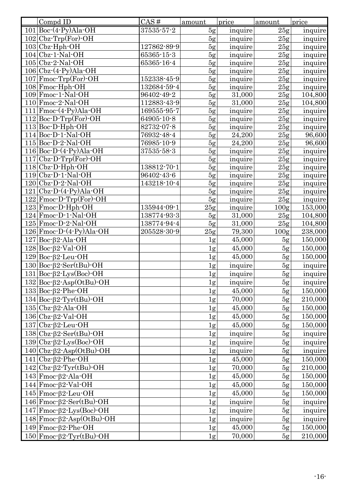| Compd ID                                                      | CAS#             | amount         | price   | amount           | price   |
|---------------------------------------------------------------|------------------|----------------|---------|------------------|---------|
| $101$ Boc $-(4-Py)$ Ala $-OH$                                 | $37535 - 57 - 2$ | 5g             | inquire | 25g              | inquire |
| $102$ Cbz-Trp(For)-OH                                         |                  | 5g             | inquire | 25g              | inquire |
| $103$ Cbz-Hph-OH                                              | 127862-89-9      | 5g             | inquire | 25g              | inquire |
| $104$ Cbz $-1$ -Nal-OH                                        | 65365-15-3       | 5g             | inquire | 25g              | inquire |
| $105$ Cbz-2-Nal-OH                                            | 65365-16-4       | 5g             | inquire | 25g              | inquire |
| $106 Cbz-(4-Py)Ala-OH$                                        |                  | 5g             | inquire | 25g              | inquire |
| $107$ Fmoc-Trp(For)-OH                                        | 152338-45-9      | 5g             | inquire | 25g              | inquire |
| 108 Fmoc-Hph-OH                                               | 132684-59-4      | 5g             | inquire | 25g              | inquire |
| 109 Fmoc-1-Nal-OH                                             | 96402-49-2       | 5g             | 31,000  | 25g              | 104,800 |
| $110$ Fmoc $-2$ Nal $-OH$                                     | 112883-43-9      | 5g             | 31,000  | 25g              | 104,800 |
| $111$  Fmoc $-(4-Py)$ Ala $-OH$                               | 169555-95-7      | 5g             | inquire | 25g              | inquire |
| $112$ Boc D Trp(For) OH                                       | 64905-10-8       | 5g             | inquire | 25g              | inquire |
| $113$ Boc $-D$ -Hph-OH                                        | 82732-07-8       | 5g             | inquire | 25g              | inquire |
| $114$ Boc $-D-1$ -Nal-OH                                      | 76932-48-4       | 5g             | 24,200  | 25g              | 96,600  |
| $115$ Boc-D-2-Nal-OH                                          | 76985-10-9       | 5g             | 24,200  | 25g              | 96,600  |
| $116 Boc-D-(4-Py)Ala-OH$                                      | 37535-58-3       | 5g             | inquire | 25g              | inquire |
| $117 Cbz-D-Trp(For)-OH$                                       |                  | 5g             | inquire | 25g              | inquire |
| $118$ Cbz $\cdot$ D $\cdot$ Hph $\cdot$ OH                    | 138812-70-1      | 5g             | inquire | 25g              | inquire |
| $119$ Cbz $\text{-}$ D $\cdot$ 1 $\text{-}$ Nal $\text{-}$ OH | 96402-43-6       | 5g             | inquire | 25g              | inquire |
| $120$ Cbz $\text{-}D\text{-}2\text{-}N$ al $\text{-}OH$       | 143218-10-4      | 5g             | inquire | 25g              | inquire |
| $121 Cbz-D-(4-Py)Ala-OH$                                      |                  | 5g             | inquire | 25g              | inquire |
| $122$ Fmoc-D-Trp(For)-OH                                      |                  | 5g             | inquire | 25g              | inquire |
| 123 Fmoc D Hph OH                                             | 135944-09-1      | 25g            | inquire | 100 <sub>g</sub> | 153,000 |
| $124$ Fmoc $\cdot$ D $\cdot$ 1 $\cdot$ Nal $\cdot$ OH         | 138774-93-3      | 5 <sub>g</sub> | 31,000  | 25g              | 104,800 |
| $125$ Fmoc $\cdot$ D $\cdot$ 2 $\cdot$ Nal $\cdot$ OH         | 138774-94-4      | 5g             | 31,000  | 25g              | 104,800 |
| $126$ Fmoc $\text{-}D\text{-}(4\text{-}Py)$ Ala $\text{-}OH$  | 205528-30-9      | 25g            | 79,300  | 100 <sub>g</sub> | 238,000 |
| $127$ Boc- $\beta$ 2-Ala-OH                                   |                  | 1g             | 45,000  | 5g               | 150,000 |
| $128$ Boc $62$ Val OH                                         |                  | 1g             | 45,000  | 5g               | 150,000 |
| $129$ Boc- $\beta$ 2-Leu-OH                                   |                  | 1g             | 45,000  | 5g               | 150,000 |
| $130 Boc-β2-Ser(tBu)-OH$                                      |                  | 1g             | inquire | 5g               | inquire |
| $131 Boc-β2-Lys(Boc)-OH$                                      |                  | 1g             | inquire | 5g               | inquire |
| $132$ Boc- $\beta$ 2-Asp(OtBu)-OH                             |                  | 1 <sub>g</sub> | inquire | 5g               | inquire |
| $133$ Boc- $\beta$ 2-Phe-OH                                   |                  | $\lg$          | 45,000  | 5g               | 150,000 |
| $134 Boc-β2-Tyr(tBu)-OH$                                      |                  | 1g             | 70,000  | 5g               | 210,000 |
| $135$ Cbz- $\beta$ 2-Ala-OH                                   |                  | 1g             | 45,000  | 5g               | 150,000 |
| $136$ Cbz- $\beta$ 2-Val-OH                                   |                  | 1g             | 45,000  | 5g               | 150,000 |
| $137$ Cbz- $\beta$ 2-Leu-OH                                   |                  | 1g             | 45,000  | 5g               | 150,000 |
| $138 Cbz-β2-Ser(tBu)-OH$                                      |                  | 1g             | inquire | 5g               | inquire |
| $139 Cbz-β2-Lys(Boc)-OH$                                      |                  | 1g             | inquire | 5g               | inquire |
| $140 Cbz-β2-Asp(OtBu)-OH$                                     |                  | 1g             | inquire | 5g               | inquire |
| $141 Cbz-\beta2-Phe-OH$                                       |                  | 1g             | 45,000  | 5g               | 150,000 |
|                                                               |                  |                |         |                  |         |
| $142 Cbz-β2-Tyr(tBu)-OH$                                      |                  | 1g             | 70,000  | 5g               | 210,000 |
| $143$   Fmoc- $\beta$ 2-Ala-OH                                |                  | 1g             | 45,000  | 5g               | 150,000 |
| $144$   Fmoc- $\beta$ 2-Val-OH                                |                  | 1g             | 45,000  | 5g               | 150,000 |
| $145$ Fmoc- $\beta$ 2-Leu-OH                                  |                  | 1g             | 45,000  | 5g               | 150,000 |
| $146$ Fmoc- $\beta$ 2-Ser(tBu)-OH                             |                  | 1g             | inquire | 5g               | inquire |
| $147$ Fmoc- $\beta$ 2-Lys(Boc)-OH                             |                  | 1g             | inquire | 5g               | inquire |
| $148$ Fmoc- $\beta$ 2-Asp(OtBu)-OH                            |                  | 1g             | inquire | 5g               | inquire |
| $149$ Fmoc- $\beta$ 2-Phe-OH                                  |                  | 1 <sub>g</sub> | 45,000  | 5g               | 150,000 |
| $150$ Fmoc $\beta$ 2 Tyr(tBu) OH                              |                  | 1 <sub>g</sub> | 70,000  | 5g               | 210,000 |